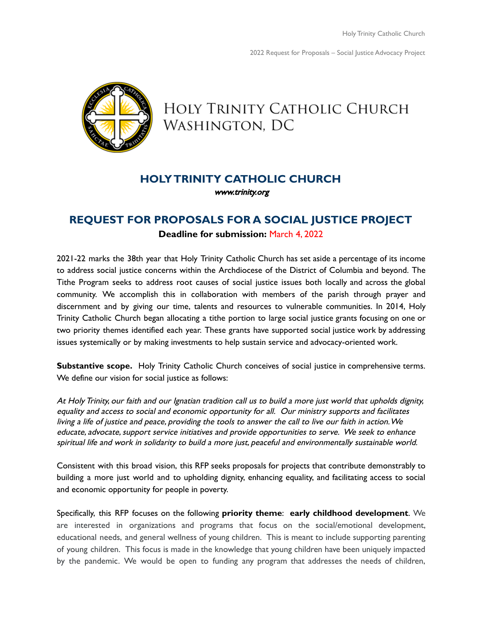

# HOLY TRINITY CATHOLIC CHURCH Washington, DC

# **HOLYTRINITY CATHOLIC CHURCH**

[www.trinity.org](http://www.trinity.org)

# **REQUEST FOR PROPOSALS FOR A SOCIAL JUSTICE PROJECT Deadline for submission:** March 4, 2022

2021-22 marks the 38th year that Holy Trinity Catholic Church has set aside a percentage of its income to address social justice concerns within the Archdiocese of the District of Columbia and beyond. The Tithe Program seeks to address root causes of social justice issues both locally and across the global community. We accomplish this in collaboration with members of the parish through prayer and discernment and by giving our time, talents and resources to vulnerable communities. In 2014, Holy Trinity Catholic Church began allocating a tithe portion to large social justice grants focusing on one or two priority themes identified each year. These grants have supported social justice work by addressing issues systemically or by making investments to help sustain service and advocacy-oriented work.

**Substantive scope.** Holy Trinity Catholic Church conceives of social justice in comprehensive terms. We define our vision for social justice as follows:

At HolyTrinity, our faith and our Ignatian tradition call us to build <sup>a</sup> more just world that upholds dignity, equality and access to social and economic opportunity for all. Our ministry supports and facilitates living <sup>a</sup> life of justice and peace, providing the tools to answer the call to live our faith in action.We educate, advocate, support service initiatives and provide opportunities to serve. We seek to enhance spiritual life and work in solidarity to build <sup>a</sup> more just, peaceful and environmentally sustainable world.

Consistent with this broad vision, this RFP seeks proposals for projects that contribute demonstrably to building a more just world and to upholding dignity, enhancing equality, and facilitating access to social and economic opportunity for people in poverty.

Specifically, this RFP focuses on the following **priority theme**: **early childhood development**. We are interested in organizations and programs that focus on the social/emotional development, educational needs, and general wellness of young children. This is meant to include supporting parenting of young children. This focus is made in the knowledge that young children have been uniquely impacted by the pandemic. We would be open to funding any program that addresses the needs of children,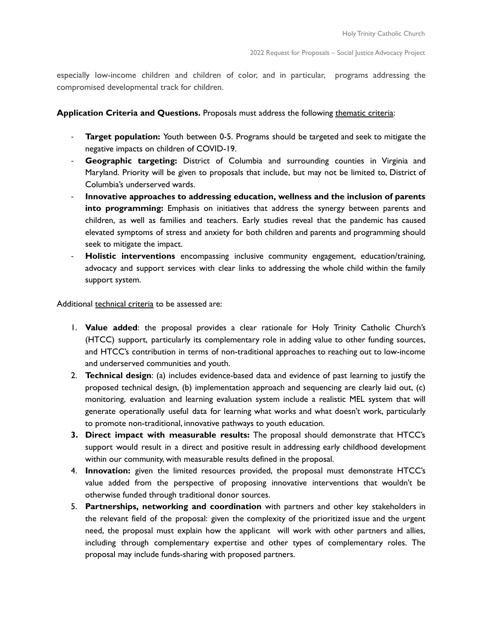especially low-income children and children of color, and in particular, programs addressing the compromised developmental track for children.

# **Application Criteria and Questions.** Proposals must address the following thematic criteria:

- **Target population:** Youth between 0-5. Programs should be targeted and seek to mitigate the negative impacts on children of COVID-19.
- **Geographic targeting:** District of Columbia and surrounding counties in Virginia and Maryland. Priority will be given to proposals that include, but may not be limited to, District of Columbia's underserved wards.
- **Innovative approaches to addressing education, wellness and the inclusion of parents into programming:** Emphasis on initiatives that address the synergy between parents and children, as well as families and teachers. Early studies reveal that the pandemic has caused elevated symptoms of stress and anxiety for both children and parents and programming should seek to mitigate the impact.
- **Holistic interventions** encompassing inclusive community engagement, education/training, advocacy and support services with clear links to addressing the whole child within the family support system.

Additional technical criteria to be assessed are:

- 1. **Value added**: the proposal provides a clear rationale for Holy Trinity Catholic Church's (HTCC) support, particularly its complementary role in adding value to other funding sources, and HTCC's contribution in terms of non-traditional approaches to reaching out to low-income and underserved communities and youth.
- 2. **Technical design**: (a) includes evidence-based data and evidence of past learning to justify the proposed technical design, (b) implementation approach and sequencing are clearly laid out, (c) monitoring, evaluation and learning evaluation system include a realistic MEL system that will generate operationally useful data for learning what works and what doesn't work, particularly to promote non-traditional, innovative pathways to youth education.
- **3. Direct impact with measurable results:** The proposal should demonstrate that HTCC's support would result in a direct and positive result in addressing early childhood development within our community, with measurable results defined in the proposal.
- 4. **Innovation:** given the limited resources provided, the proposal must demonstrate HTCC's value added from the perspective of proposing innovative interventions that wouldn't be otherwise funded through traditional donor sources.
- 5. **Partnerships, networking and coordination** with partners and other key stakeholders in the relevant field of the proposal: given the complexity of the prioritized issue and the urgent need, the proposal must explain how the applicant will work with other partners and allies, including through complementary expertise and other types of complementary roles. The proposal may include funds-sharing with proposed partners.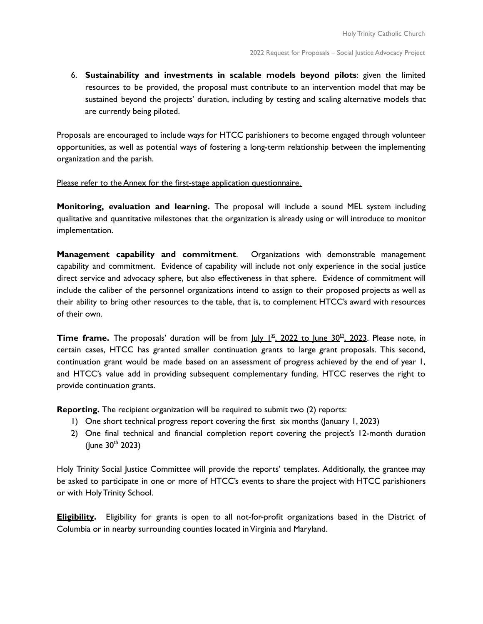6. **Sustainability and investments in scalable models beyond pilots**: given the limited resources to be provided, the proposal must contribute to an intervention model that may be sustained beyond the projects' duration, including by testing and scaling alternative models that are currently being piloted.

Proposals are encouraged to include ways for HTCC parishioners to become engaged through volunteer opportunities, as well as potential ways of fostering a long-term relationship between the implementing organization and the parish.

#### Please refer to the Annex for the first-stage application questionnaire.

**Monitoring, evaluation and learning.** The proposal will include a sound MEL system including qualitative and quantitative milestones that the organization is already using or will introduce to monitor implementation.

**Management capability and commitment**. Organizations with demonstrable management capability and commitment. Evidence of capability will include not only experience in the social justice direct service and advocacy sphere, but also effectiveness in that sphere. Evidence of commitment will include the caliber of the personnel organizations intend to assign to their proposed projects as well as their ability to bring other resources to the table, that is, to complement HTCC's award with resources of their own.

**Time frame.** The proposals' duration will be from <u>July 1st, 2022 to June 30th, 2023</u>. Please note, in certain cases, HTCC has granted smaller continuation grants to large grant proposals. This second, continuation grant would be made based on an assessment of progress achieved by the end of year 1, and HTCC's value add in providing subsequent complementary funding. HTCC reserves the right to provide continuation grants.

**Reporting.** The recipient organization will be required to submit two (2) reports:

- 1) One short technical progress report covering the first six months (January 1, 2023)
- 2) One final technical and financial completion report covering the project's 12-month duration (June  $30^{th}$  2023)

Holy Trinity Social Justice Committee will provide the reports' templates. Additionally, the grantee may be asked to participate in one or more of HTCC's events to share the project with HTCC parishioners or with Holy Trinity School.

**Eligibility.** Eligibility for grants is open to all not-for-profit organizations based in the District of Columbia or in nearby surrounding counties located inVirginia and Maryland.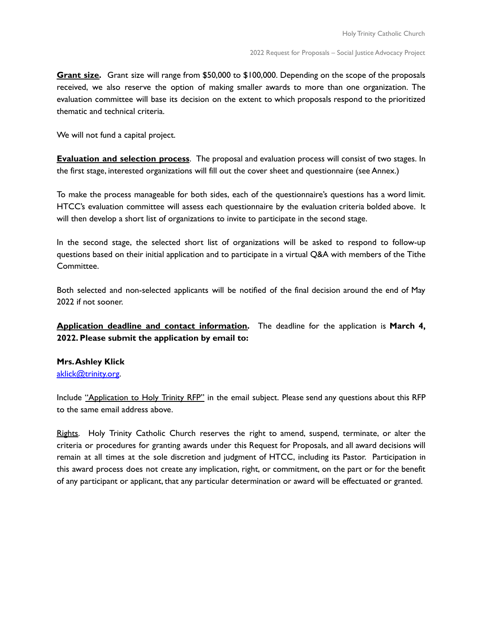**Grant size.** Grant size will range from \$50,000 to \$100,000. Depending on the scope of the proposals received, we also reserve the option of making smaller awards to more than one organization. The evaluation committee will base its decision on the extent to which proposals respond to the prioritized thematic and technical criteria.

We will not fund a capital project.

**Evaluation and selection process**. The proposal and evaluation process will consist of two stages. In the first stage, interested organizations will fill out the cover sheet and questionnaire (see Annex.)

To make the process manageable for both sides, each of the questionnaire's questions has a word limit. HTCC's evaluation committee will assess each questionnaire by the evaluation criteria bolded above. It will then develop a short list of organizations to invite to participate in the second stage.

In the second stage, the selected short list of organizations will be asked to respond to follow-up questions based on their initial application and to participate in a virtual Q&A with members of the Tithe Committee.

Both selected and non-selected applicants will be notified of the final decision around the end of May 2022 if not sooner.

**Application deadline and contact information.** The deadline for the application is **March 4, 2022. Please submit the application by email to:**

# **Mrs.Ashley Klick**

# [aklick@trinity.org](mailto:aklick@trinity.org).

Include "Application to Holy Trinity RFP" in the email subject. Please send any questions about this RFP to the same email address above.

Rights. Holy Trinity Catholic Church reserves the right to amend, suspend, terminate, or alter the criteria or procedures for granting awards under this Request for Proposals, and all award decisions will remain at all times at the sole discretion and judgment of HTCC, including its Pastor. Participation in this award process does not create any implication, right, or commitment, on the part or for the benefit of any participant or applicant, that any particular determination or award will be effectuated or granted.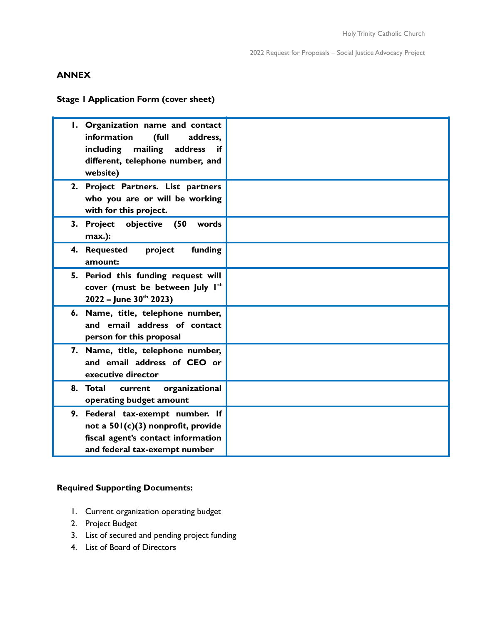# **ANNEX**

**Stage 1 Application Form (cover sheet)**

| I. Organization name and contact<br>information<br>(full<br>address.<br>mailing<br>address<br>including<br>if<br>different, telephone number, and<br>website) |  |
|---------------------------------------------------------------------------------------------------------------------------------------------------------------|--|
| 2. Project Partners. List partners<br>who you are or will be working<br>with for this project.                                                                |  |
| objective<br>(50)<br>3. Project<br>words<br>max.):                                                                                                            |  |
| project<br>funding<br>4. Requested<br>amount:                                                                                                                 |  |
| 5. Period this funding request will<br>cover (must be between July Ist<br>$2022 -$ June $30th 2023$ )                                                         |  |
| 6. Name, title, telephone number,<br>and email address of contact<br>person for this proposal                                                                 |  |
| 7. Name, title, telephone number,<br>and email address of CEO or<br>executive director                                                                        |  |
| organizational<br>8. Total current<br>operating budget amount                                                                                                 |  |
| 9. Federal tax-exempt number. If<br>not a 501(c)(3) nonprofit, provide<br>fiscal agent's contact information<br>and federal tax-exempt number                 |  |

# **Required Supporting Documents:**

- 1. Current organization operating budget
- 2. Project Budget
- 3. List of secured and pending project funding
- 4. List of Board of Directors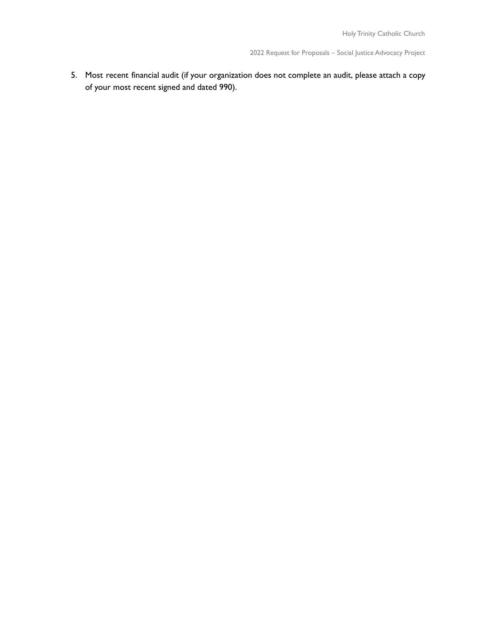5. Most recent financial audit (if your organization does not complete an audit, please attach a copy of your most recent signed and dated 990).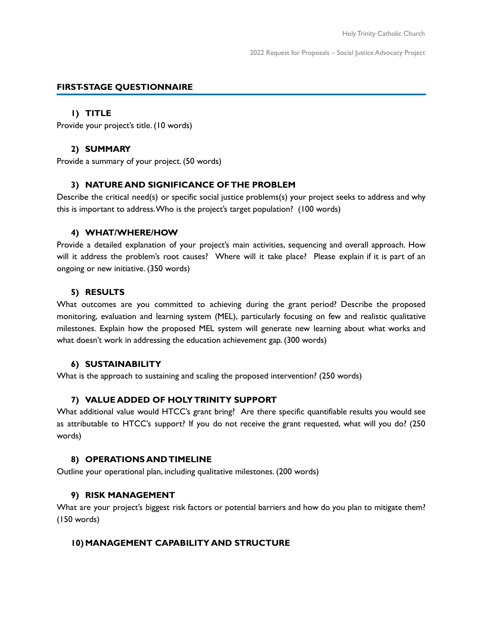# **FIRST-STAGE QUESTIONNAIRE**

#### **1) TITLE**

Provide your project's title. (10 words)

# **2) SUMMARY**

Provide a summary of your project. (50 words)

# **3) NATURE AND SIGNIFICANCE OFTHE PROBLEM**

Describe the critical need(s) or specific social justice problems(s) your project seeks to address and why this is important to address.Who is the project's target population? (100 words)

#### **4) WHAT/WHERE/HOW**

Provide a detailed explanation of your project's main activities, sequencing and overall approach. How will it address the problem's root causes? Where will it take place? Please explain if it is part of an ongoing or new initiative. (350 words)

#### **5) RESULTS**

What outcomes are you committed to achieving during the grant period? Describe the proposed monitoring, evaluation and learning system (MEL), particularly focusing on few and realistic qualitative milestones. Explain how the proposed MEL system will generate new learning about what works and what doesn't work in addressing the education achievement gap. (300 words)

#### **6) SUSTAINABILITY**

What is the approach to sustaining and scaling the proposed intervention? (250 words)

# **7) VALUE ADDED OF HOLYTRINITY SUPPORT**

What additional value would HTCC's grant bring? Are there specific quantifiable results you would see as attributable to HTCC's support? If you do not receive the grant requested, what will you do? (250 words)

#### **8) OPERATIONS ANDTIMELINE**

Outline your operational plan, including qualitative milestones. (200 words)

#### **9) RISK MANAGEMENT**

What are your project's biggest risk factors or potential barriers and how do you plan to mitigate them? (150 words)

# **10) MANAGEMENT CAPABILITY AND STRUCTURE**